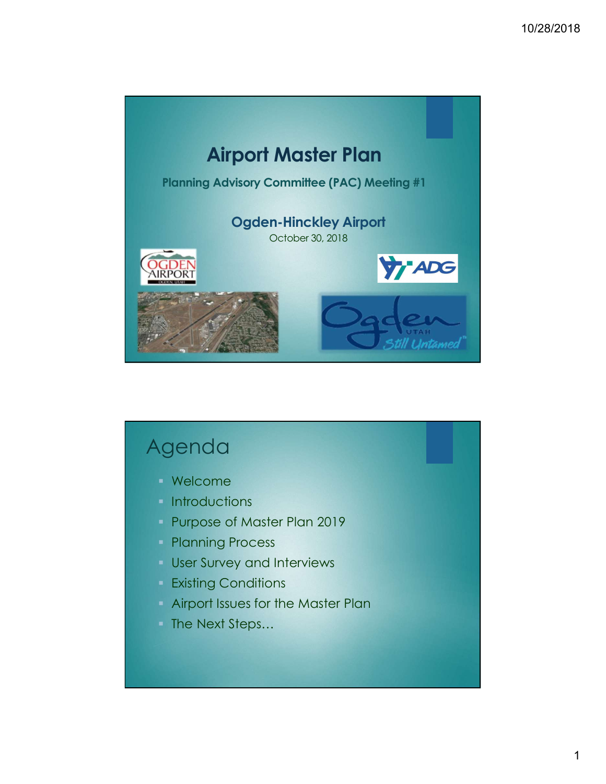

# Agenda

- Welcome
- **Introductions**
- **Purpose of Master Plan 2019**
- **Planning Process**
- **User Survey and Interviews**
- **Existing Conditions**
- Airport Issues for the Master Plan
- The Next Steps...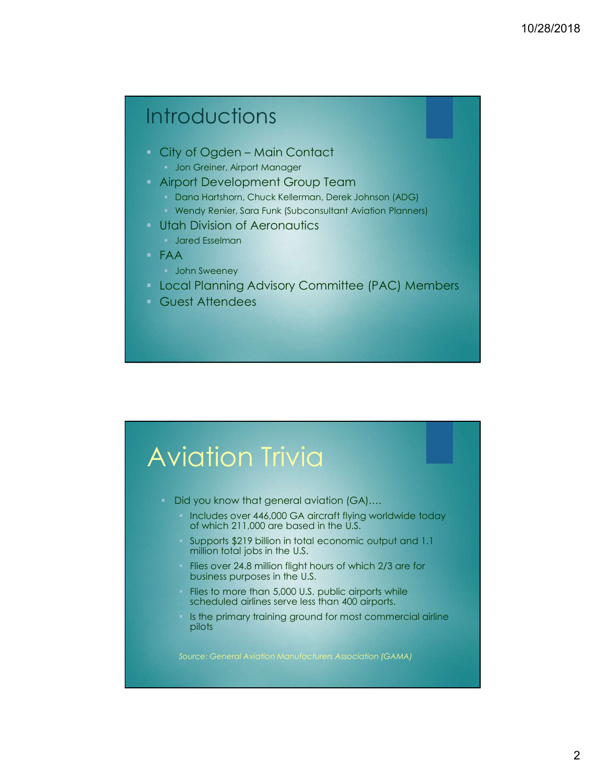# **Introductions**

- -
- - Dana Hartshorn, Chuck Kellerman, Derek Johnson (ADG)
- 10/28/2018<br>
Introductions<br>
City of Ogden Main Contact<br>
Jon Greiner, Airport Manager<br>
Airport Development Group Team<br>
Dana Hatshon, Chuck Kellerman, Derek Johnson (ADG)<br>
Wendy Renier, Sara Funk (Subconsultant Aviation Pla Wendy Renier, Sara Funk (Subconsultant Aviation Planners)
- **Utah Division of Aeronautics** 
	- **Jared Esselman**
- FAA
	- **John Sweeney**
- **Local Planning Advisory Committee (PAC) Members**
- Guest Attendees

# Aviation Trivia

- Did you know that general aviation (GA)….
	- Includes over 446,000 GA aircraft flying worldwide today of which 211,000 are based in the U.S.
	- Supports \$219 billion in total economic output and 1.1 million total jobs in the U.S.
	- Flies over 24.8 million flight hours of which 2/3 are for business purposes in the U.S.
	- Flies to more than 5,000 U.S. public airports while scheduled airlines serve less than 400 airports.
	- Is the primary training ground for most commercial airline pilots

Source: General Aviation Manufacturers Association (GAMA)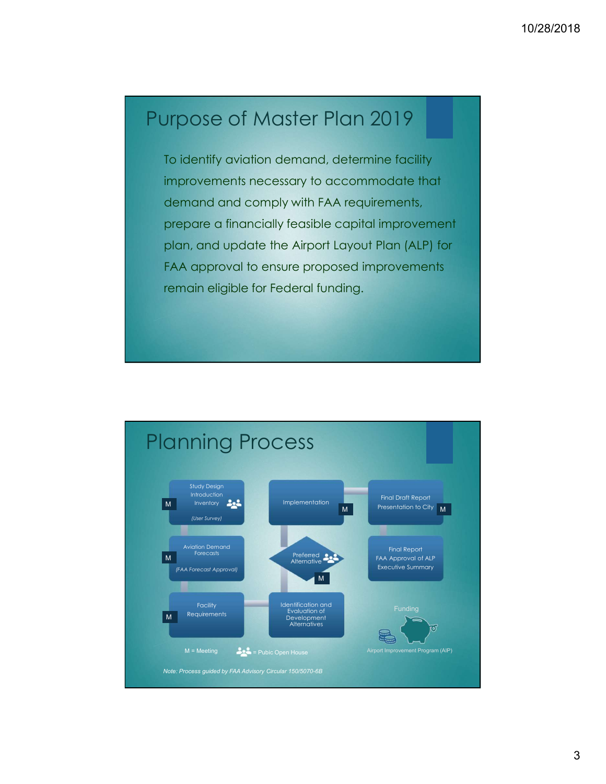## Purpose of Master Plan 2019

To identify aviation demand, determine facility improvements necessary to accommodate that demand and comply with FAA requirements, prepare a financially feasible capital improvement plan, and update the Airport Layout Plan (ALP) for FAA approval to ensure proposed improvements remain eligible for Federal funding.

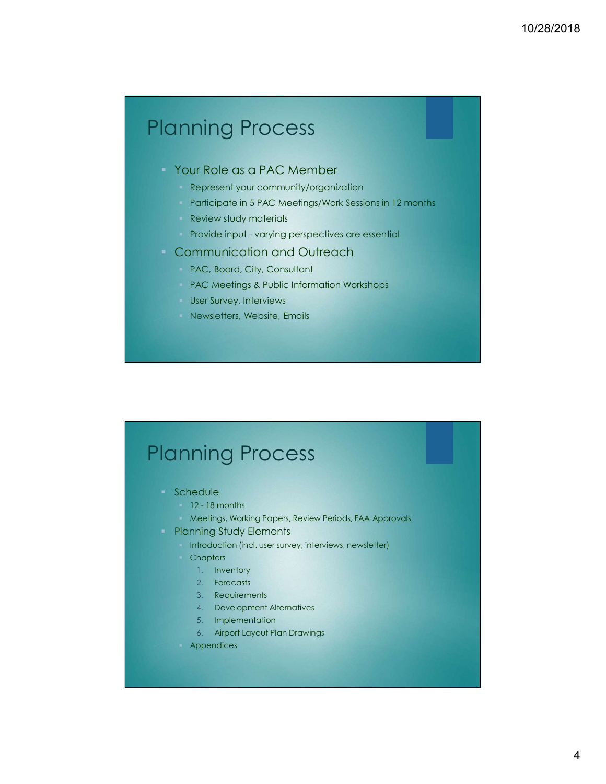# Planning Process 10/28/2018<br>Provide as a PAC Member<br>Provide in a PAC Member<br>Provide in 5 PAC Meetings/Work Sessions in 12 months<br>Review study materials<br>Provide input - varying perspectives are essential<br>Communication and Outreach<br>PAC, Boar

### Your Role as a PAC Member

- **Represent your community/organization**
- **Participate in 5 PAC Meetings/Work Sessions in 12 months**
- **Review study materials**
- 
- - PAC, Board, City, Consultant
	- **PAC Meetings & Public Information Workshops**
	- **User Survey, Interviews**
	- Newsletters, Website, Emails

# Planning Process 12 - 18 months Meetings & Public Information Workshops<br>
12 - 18 months Mewsletters, Website, Emails<br>
12 - 18 months<br>
12 - 18 months<br>
12 - 18 months<br>
12 - 18 months<br>
12 - 18 months<br>
12 - 18 months<br>
12 - 18 months<br>
12 - 18

- **Schedule** 
	-
	-
- -
	- - 1. Inventory
		- 2. Forecasts
		- 3. Requirements
		- 4. Development Alternatives
		- 5. Implementation
		- 6. Airport Layout Plan Drawings
	- **Appendices**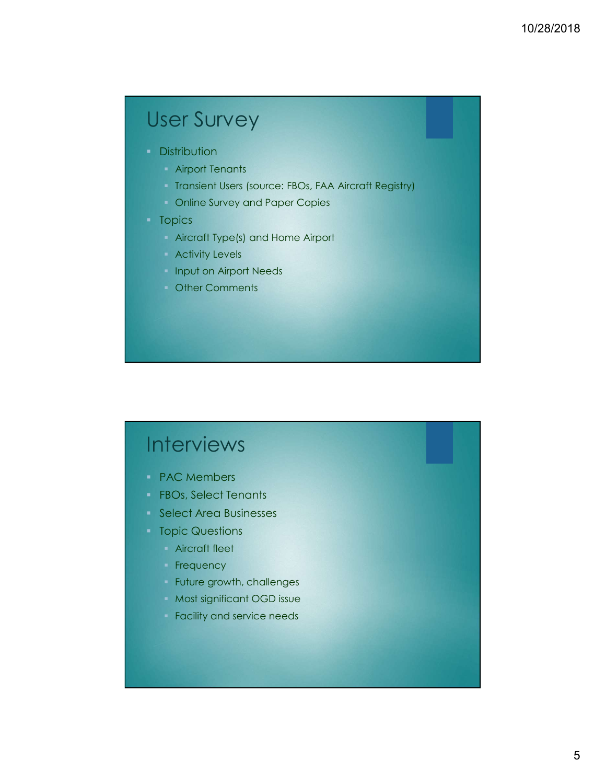# User Survey

- **Distribution** 
	- **Airport Tenants**
	- **Transient Users (source: FBOs, FAA Aircraft Registry)**
	- **Conline Survey and Paper Copies**

### **Topics**

- **Aircraft Type(s) and Home Airport**
- **Activity Levels**
- **Input on Airport Needs**
- **Comments**

# **Interviews**

- **PAC Members**
- **FBOs, Select Tenants**
- Select Area Businesses
- **Topic Questions** 
	- **Aircraft fleet**
	- **Frequency**
	- Future growth, challenges
	- **Most significant OGD issue**
	- **Facility and service needs**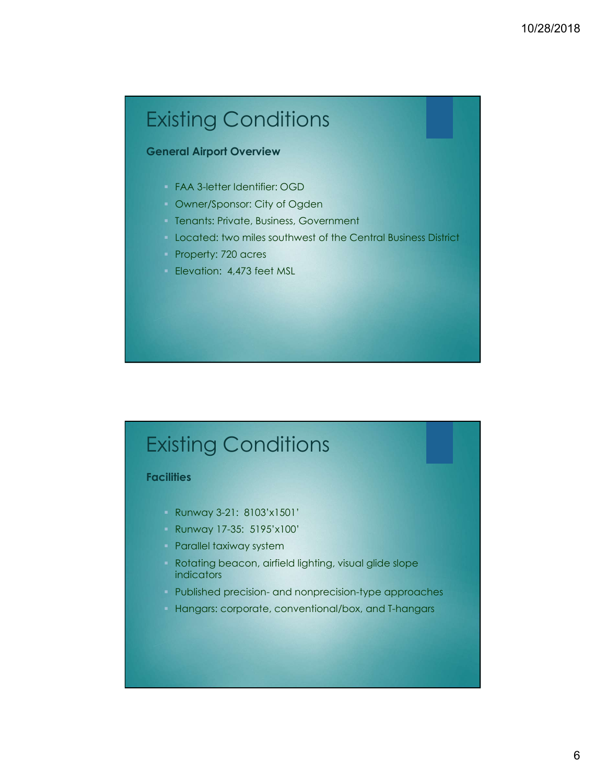# Existing Conditions

### General Airport Overview

- FAA 3-letter Identifier: OGD
- Owner/Sponsor: City of Ogden
- **Tenants: Private, Business, Government**
- Located: two miles southwest of the Central Business District
- Property: 720 acres
- Elevation: 4,473 feet MSL

# Existing Conditions

### **Facilities**

- Runway 3-21: 8103'x1501'
- Runway 17-35: 5195'x100'
- **Parallel taxiway system**
- **Rotating beacon, airfield lighting, visual glide slope** indicators Published precision- and nonprecision-type approaches than and nonprecision-type approaches approaches approaches endications<br>
Hangars: corporate, conventional/box, and T-hangars<br>
Hangars: corporate, conventional/box, and
- 
-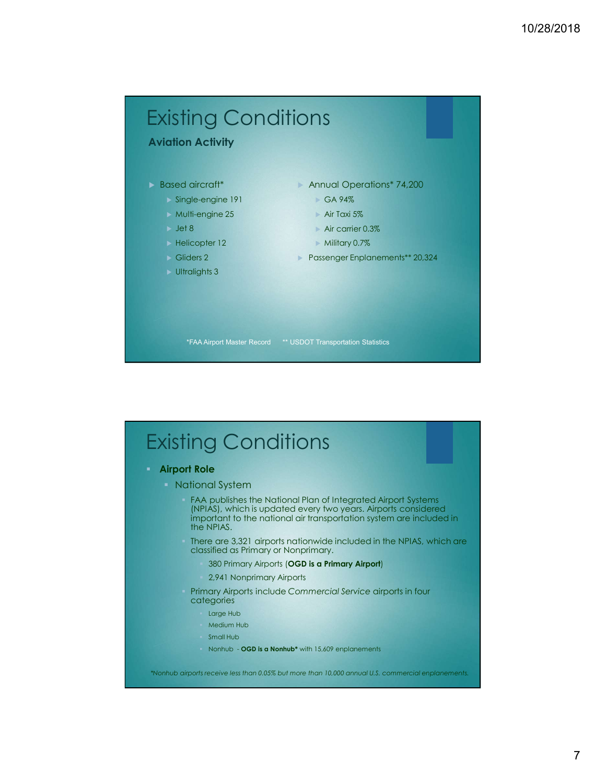

# Existing Conditions

Airport Role

**National System** 

- FAA publishes the National Plan of Integrated Airport Systems (NPIAS), which is updated every two years. Airports considered important to the national air transportation system are included in the NPIAS.
- There are 3,321 airports nationwide included in the NPIAS, which are classified as Primary or Nonprimary.
	- 380 Primary Airports (OGD is a Primary Airport)
	- 2,941 Nonprimary Airports
- **Primary Airports include Commercial Service airports in four** categories
	- Large Hub
	- Medium Hub
	- Small Hub
	- Nonhub OGD is a Nonhub<sup>\*</sup> with 15,609 enplanements

\*Nonhub airports receive less than 0.05% but more than 10,000 annual U.S. commercial enplanements.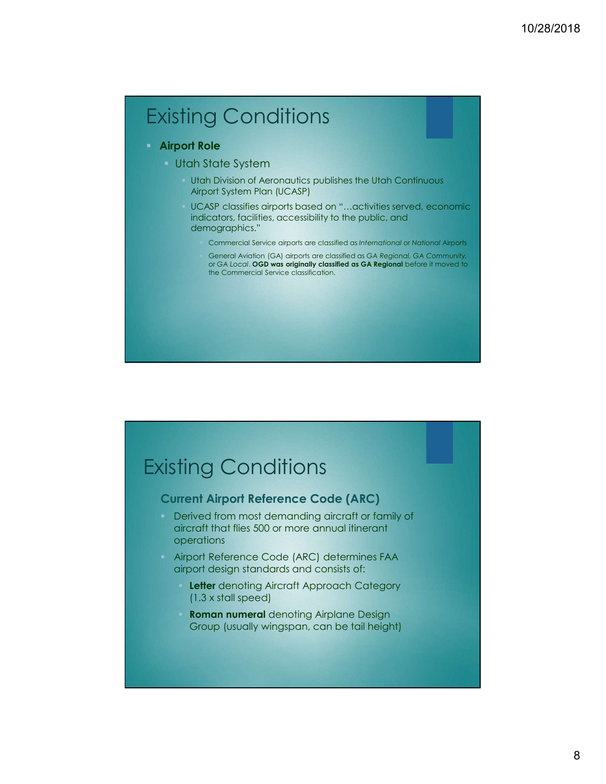# Existing Conditions

### Airport Role

- **Utah State System** 
	- Utah Division of Aeronautics publishes the Utah Continuous Airport System Plan (UCASP)
	- UCASP classifies airports based on "…activities served, economic indicators, facilities, accessibility to the public, and demographics."
		- Commercial Service airports are classified as International or National Airports
		- General Aviation (GA) airports are classified as GA Regional, GA Community, or GA Local. OGD was originally classified as GA Regional before it moved to the Commercial Service classification.

# Existing Conditions

### Current Airport Reference Code (ARC)

- **Derived from most demanding aircraft or family of** aircraft that flies 500 or more annual itinerant operations
- **Airport Reference Code (ARC) determines FAA** airport design standards and consists of:
	- **Letter** denoting Aircraft Approach Category (1.3 x stall speed)
	- Roman numeral denoting Airplane Design Group (usually wingspan, can be tail height)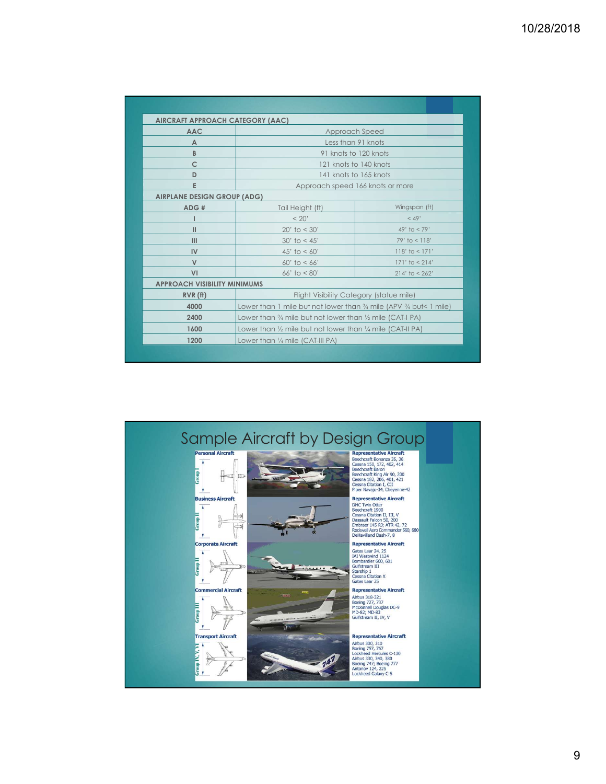| AIRCRAFT APPROACH CATEGORY (AAC)    |                                                                                          |                    |  |
|-------------------------------------|------------------------------------------------------------------------------------------|--------------------|--|
| <b>AAC</b>                          | Approach Speed                                                                           |                    |  |
| A                                   | Less than 91 knots                                                                       |                    |  |
| B                                   | 91 knots to 120 knots                                                                    |                    |  |
| C                                   | 121 knots to 140 knots                                                                   |                    |  |
| D                                   | 141 knots to 165 knots                                                                   |                    |  |
| E                                   | Approach speed 166 knots or more                                                         |                    |  |
| <b>AIRPLANE DESIGN GROUP (ADG)</b>  |                                                                                          |                    |  |
| ADE#                                | Tail Height (ft)                                                                         | Wingspan (ft)      |  |
|                                     | < 20'                                                                                    | < 49'              |  |
| $\mathbf{H}$                        | $20'$ to $< 30'$                                                                         | 49' to $< 79'$     |  |
| III                                 | $30'$ to < 45'                                                                           | $79'$ to $< 118'$  |  |
| IV                                  | 45' to $< 60'$                                                                           | $118'$ to < $171'$ |  |
| V                                   | $60'$ to < $66'$                                                                         | $171'$ to $< 214'$ |  |
| VI                                  | 66' to $< 80'$                                                                           | $214'$ to < $262'$ |  |
| <b>APPROACH VISIBILITY MINIMUMS</b> |                                                                                          |                    |  |
| $RVR$ (ff)                          | Flight Visibility Category (statue mile)                                                 |                    |  |
| 4000                                | Lower than 1 mile but not lower than $\frac{3}{4}$ mile (APV $\frac{3}{4}$ but < 1 mile) |                    |  |
| 2400                                | Lower than % mile but not lower than 1/2 mile (CAT-I PA)                                 |                    |  |
| 1600                                | Lower than $\frac{1}{2}$ mile but not lower than $\frac{1}{4}$ mile (CAT-II PA)          |                    |  |
| 1200                                | Lower than 1/4 mile (CAT-III PA)                                                         |                    |  |
|                                     |                                                                                          |                    |  |

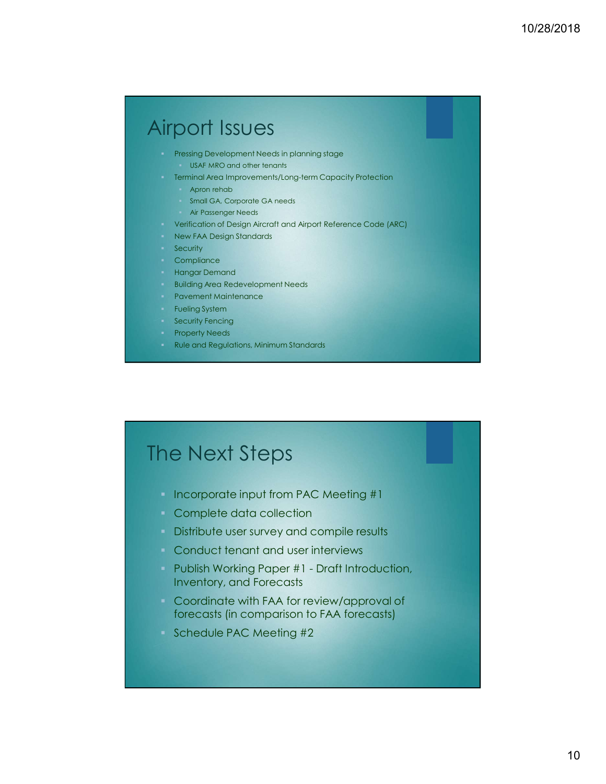# Airport Issues

- **Pressing Development Needs in planning stage** 
	- **USAF MRO and other tenants**
- **Terminal Area Improvements/Long-term Capacity Protection** 
	- Apron rehab
	- Small GA, Corporate GA needs
	- **Air Passenger Needs**
- Verification of Design Aircraft and Airport Reference Code (ARC)
- **New FAA Design Standards**
- **Security**
- **Compliance**
- **Hangar Demand**
- **Building Area Redevelopment Needs**
- **Pavement Maintenance**
- **Fueling System**
- **Security Fencing**
- **Property Needs**
- **Rule and Regulations, Minimum Standards**

# The Next Steps

- **Incorporate input from PAC Meeting #1**
- **Complete data collection**
- **Distribute user survey and compile results**
- **Conduct tenant and user interviews**
- Fueling system<br>
Property Heeds<br>
Rule and Regulations, Minimum Standards<br>
Publish Working Paper #1<br>
Draft Draft Introduction<br>
Distribute user survey and compile results<br>
Publish Working Paper #1 Draft Introduction,<br>
Inven Inventory, and Forecasts
- **Coordinate with FAA for review/approval of** forecasts (in comparison to FAA forecasts)
- Schedule PAC Meeting #2